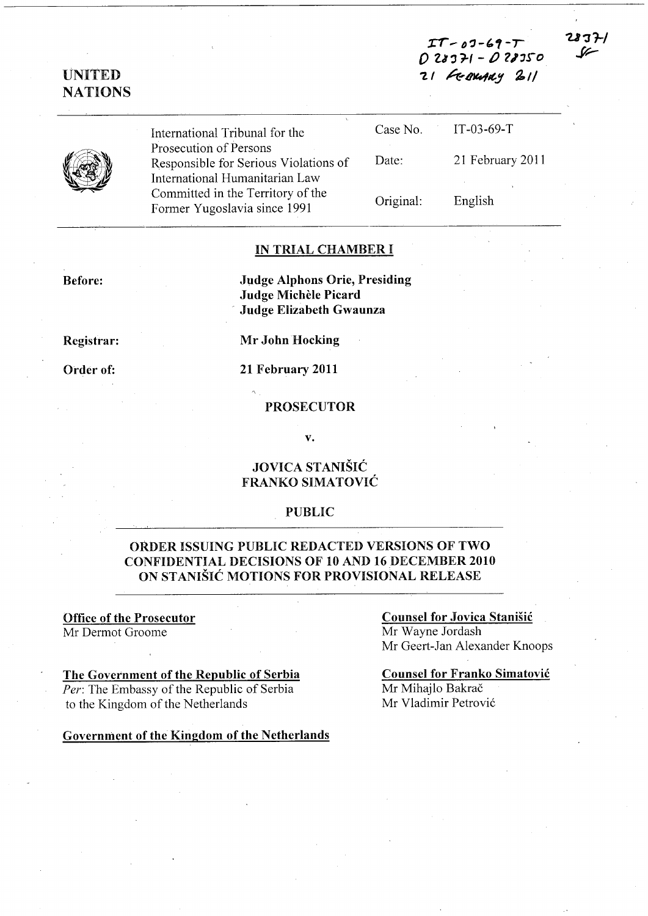:er ..... *0'3-',-,* o *ZI'J1-I-* t) *'l1'S-o*  21 FEBRUARY 211

IT-03-69-T

タマチノ



UNITED **NATIONS** 

> International Tribunal for the Prosecution of Persons Responsible for Serious Violations of International Humanitarian Law Committed in the Territory of the Former Yugoslavia since 1991

| Case No.  | $IT-03-69-T$     |
|-----------|------------------|
| Date:     | 21 February 2011 |
| Original: | English          |

#### IN TRIAL CHAMBER I

Before:

Judge Alphons Orie, Presiding Judge Michèle Picard Judge Elizabeth Gwaunza

Registrar:

Order of:

Mr John Hocking

21 February 2011

PROSECUTOR

v.

### JOVICA STANISIC FRANKO SIMATOVIC

#### PUBLIC

### ORDER ISSUING PUBLIC REDACTED VERSIONS OF TWO CONFIDENTIAL DECISIONS OF 10 AND 16 DECEMBER 2010 ON STANIŠIĆ MOTIONS FOR PROVISIONAL RELEASE

# Office of the Prosecutor

Mr Dermot Groome

#### The Government of the Republic of Serbia

*Per:* The Embassy of the Republic of Serbia to the Kingdom of the Netherlands

Government of the Kingdom of the Netherlands

## Counsel for Jovica Stanisic

Mr Wayne Jordash Mr Geert-Jan Alexander Knoops

Counsel for Franko Simatovic Mr Mihajlo Bakrač Mr Vladimir Petrovi6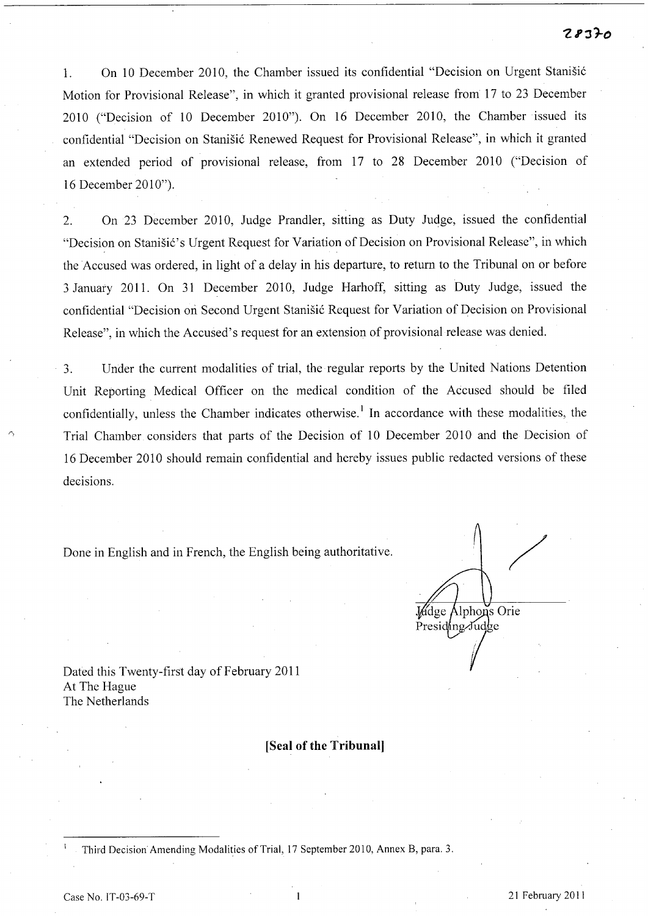1. On 10 December 2010, the Chamber issued its confidential "Decision on Urgent Stanišić Motion for Provisional Release", in which it granted provisional release from 17 to 23 December 2010 ("Decision of 10 December 2010"). On 16 December 2010, the Chamber issued its confidential "Decision on Stanišić Renewed Request for Provisional Release", in which it granted an extended period of provisional release, from 17 to 28 December 2010 ("Decision of 16 December 2010").

2. On 23 December 2010, Judge Prandler, sitting as Duty Judge, issued the confidential "Decision on Stanišić's Urgent Request for Variation of Decision on Provisional Release", in which the Accused was ordered, in light of a delay in his departure, to return to the Tribunal on or before 3 January 201l. On 31 December 2010, Judge Harhoff, sitting as Duty Judge, issued the confidential "Decision on Second Urgent Stanišić Request for Variation of Decision on Provisional Release", in which the Accused's request for an extension of provisional release was denied.

3. Under the current modalities of trial, the regular reports by the United Nations Detention Unit Reporting Medical Officer on the medical condition of the Accused should be filed confidentially, unless the Chamber indicates otherwise.<sup>1</sup> In accordance with these modalities, the Trial Chamber considers that parts of the Decision of 10 December 2010 and the Decision of 16 December 2010 should remain confidential and hereby issues public redacted versions of these decisions.

Done in English and in French, the English being authoritative.

/ **Judge Alphons Orie** Presiding/Judge

Dated this Twenty-first day of February 2011 At The Hague The Netherlands

#### **[Seal of the Tribunal]**

Third Decision Amending Modalities of Trial, 17 September 2010, Annex B, para. 3.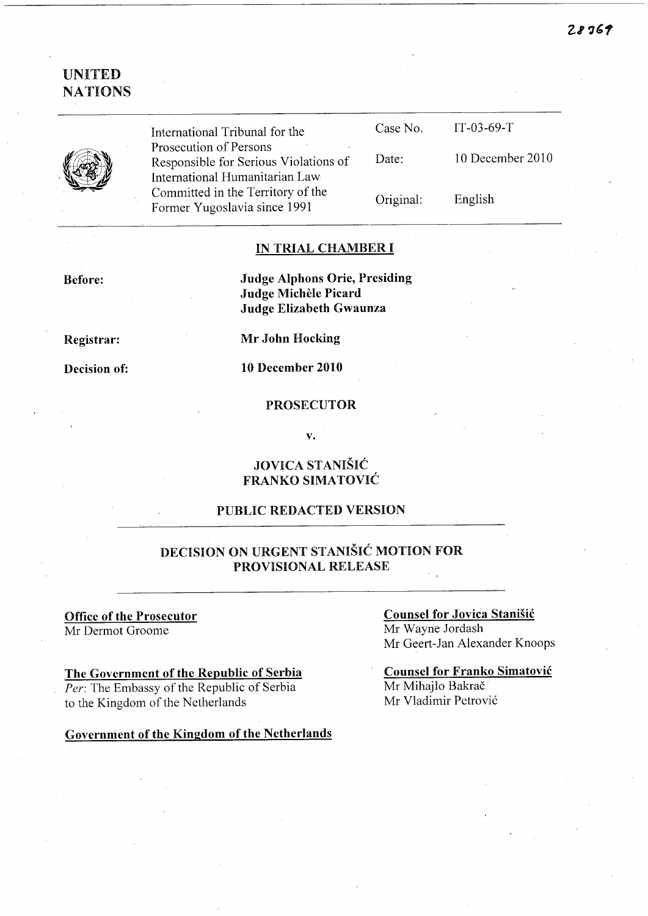

International Tribunal for the Prosecution of Persons Responsible for Serious Violations of International Humanitarian Law Committed in the Territory of the Former Yugoslavia since 1991

| Case No.  | $IT-03-69-T$     |
|-----------|------------------|
| Date:     | 10 December 2010 |
| Original: | English          |

#### IN TRIAL CHAMBER I

Before:

Judge Alphons Orie, Presiding Judge Michèle Picard Judge Elizabeth Gwaunza

Registrar:

Decision of:

Mr John Hocking

10 December 2010

#### PROSECUTOR

v.

### JOVICA STANISIC FRANKO SIMATOVIC

#### PUBLIC REDACTED VERSION

## DECISION ON URGENT STANISIC MOTION FOR PROVISIONAL RELEASE

#### Office of the Prosecutor Mr Dermot Groome

### The Government of the Republic of Serbia

*Per:* The Embassy of the Republic of Serbia to the Kingdom of the Netherlands

Government of the Kingdom of the Netherlands

### Counsel for Jovica Stanisic Mr Wayne Jordash Mr Geert-Jan Alexander Knoops

Counsel for Franko Simatovic Mr Mihajlo Bakrač Mr Vladimir Petrovi6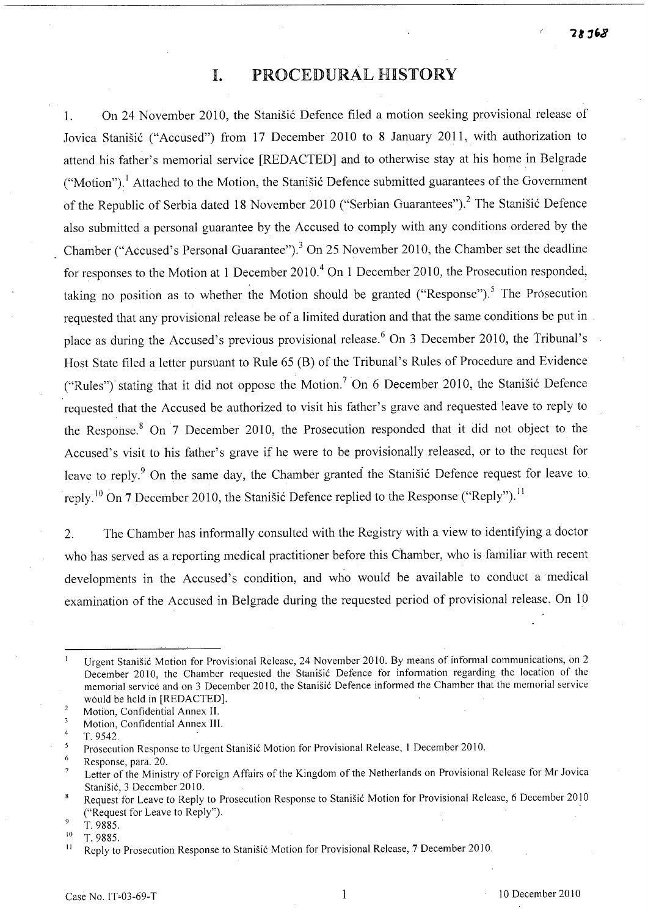# **I.** PROCEDURAL HISTORY

1. On 24 November 2010, the Stanisic Defence filed a motion seeking provisional release of Jovica Stanišić ("Accused") from 17 December 2010 to 8 January 2011, with authorization to attend his father's memorial service [REDACTED] and to otherwise stay at his home in Belgrade ("Motion").<sup>1</sup> Attached to the Motion, the Stanisic Defence submitted guarantees of the Government of the Republic of Serbia dated 18 November 2010 ("Serbian Guarantees").<sup>2</sup> The Stanišić Defence also submitted a personal guarantee by the Accused to comply with any conditions ordered by the Chamber ("Accused's Personal Guarantee").<sup>3</sup> On 25 November 2010, the Chamber set the deadline for responses to the Motion at 1 December 2010.<sup>4</sup> On 1 December 2010, the Prosecution responded, taking no position as to whether the Motion should be granted ("Response").<sup>5</sup> The Prosecution requested that any provisional release be of a limited duration and that the same conditions be put in place as during the Accused's previous provisional release.<sup>6</sup> On 3 December 2010, the Tribunal's Host State filed a letter pursuant to Rule 65 (B) of the Tribunal's Rules of Procedure and Evidence ("Rules") stating that it did not oppose the Motion.<sup>7</sup> On 6 December 2010, the Stanistic Defence requested that the Accused be authorized to visit his father's grave and requested leave to reply to the Response.<sup>8</sup> On  $7$  December 2010, the Prosecution responded that it did not object to the Accused's visit to his father's grave if he were to be provisionally released, or to the request for leave to reply.<sup>9</sup> On the same day, the Chamber granted the Stanistic Defence request for leave to. reply.<sup>10</sup> On 7 December 2010, the Stanisic Defence replied to the Response ("Reply").<sup>11</sup>

2. The Chamber has informally consulted with the Registry with a view to identifying a doctor who has served as a reporting medical practitioner before this Chamber, who is familiar with recent developments in the Accused's condition, and who would be available to conduct a· medical examination of the Accused in Belgrade during the requested period of provisional release. On 10

Urgent Stanisic Motion for Provisional Release, 24 November 2010. By means of informal communications, on 2 December 2010, the Chamber requested the Stanišić Defence for information regarding the location of the memorial service and on 3 December 2010, the Stanisic Defence informed the Chamber that the memorial service would be held in [REDACTED].

 $\sqrt{2}$ Motion, Confidential Annex 11.

<sup>3</sup> Motion, Confidential Annex Ill.  $\overline{4}$ 

T. 9542.

<sup>5</sup> Prosecution Response to Urgent Stanisic Motion for Provisional Release, 1 December 2010.

 $\ddot{\mathbf{6}}$ Response, para. 20.

Letter of the Ministry of Foreign Affairs of the Kingdom of the Netherlands on Provisional Release for Mr Jovica  $\overline{7}$ Stanišić, 3 December 2010.

Request for Leave to Reply to Prosecution Response to Stanisic Motion for Provisional Release, 6 December 2010  $\overline{\mathbf{8}}$ ("Request for Leave to Reply"). .

<sup>&</sup>lt;sub>Q</sub> T. 9885.

 $\frac{10}{11}$  T. 9885.

<sup>11</sup>Reply to Prosecution Response to Stanisic Motion for Provisional Release, 7 December 2010.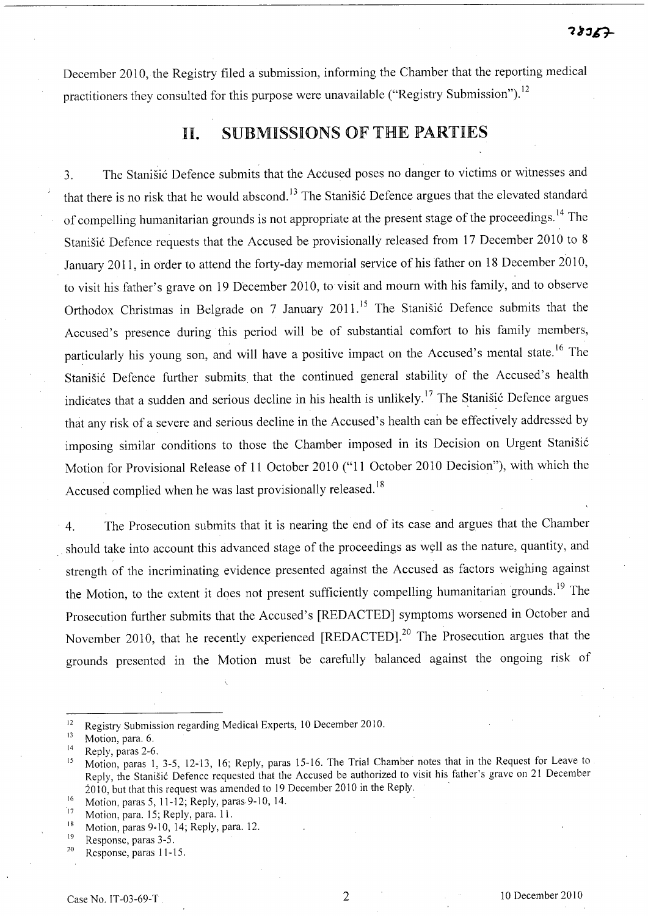December 2010, the Registry filed a submission, informing the Chamber that the reporting medical practitioners they consulted for this purpose were unavailable ("Registry Submission").<sup>12</sup>

# II. SUBMISSIONS OF THE PARTIES

3. The Stanišić Defence submits that the Accused poses no danger to victims or witnesses and that there is no risk that he would abscond.<sup>13</sup> The Stanišić Defence argues that the elevated standard of compelling humanitarian grounds is not appropriate at the present stage of the proceedings. 14 The Stanišić Defence requests that the Accused be provisionally released from 17 December 2010 to 8 January 2011, in order to attend the forty-day memorial service of his father on 18 December 2010, to visit his father's grave on 19 December 2010, to visit and mourn with his family, and to observe Orthodox Christmas in Belgrade on 7 January 2011.<sup>15</sup> The Stanišić Defence submits that the Accused's presence during this period will be of substantial comfort to his family members, particularly his young son, and will have a positive impact on the Accused's mental state.<sup>16</sup> The Stanišić Defence further submits that the continued general stability of the Accused's health indicates that a sudden and serious decline in his health is unlikely.<sup>17</sup> The Stanišić Defence argues that any risk of a severe and serious decline in the Accused's health can be effectively addressed by imposing similar conditions to those the Chamber imposed in its Decision on Urgent Stanišić Motion for Provisional Release of 11 October 2010 ("11 October 2010 Decision"), with which the Accused complied when he was last provisionally released.<sup>18</sup>

4. The Prosecution submits that it is nearing the end of its case and argues that the Chamber should take into account this advanced stage of the proceedings as well as the nature, quantity, and strength of the incriminating evidence presented against the Accused as factors weighing against the Motion, to the extent it does not present sufficiently compelling humanitarian grounds.<sup>19</sup> The Prosecution further submits that the Accused's [REDACTED] symptoms worsened in October and November 2010, that he recently experienced [REDACTED].<sup>20</sup> The Prosecution argues that the grounds presented in the Motion must be carefully balanced against the ongoing risk of

 $^{16}$  Motion, paras 5, 11-12; Reply, paras 9-10, 14.

Response, paras 11-15.

<sup>&</sup>lt;sup>12</sup> Registry Submission regarding Medical Experts, 10 December 2010.

<sup>&</sup>lt;sup>13</sup> Motion, para. 6.

 $14$  Reply, paras 2-6.

<sup>&</sup>lt;sup>15</sup> Motion, paras 1, 3-5, 12-13, 16; Reply, paras 15-16. The Trial Chamber notes that in the Request for Leave to Reply, the Stanisic Defence requested that the Accused be authorized to visit his father's grave on 21 December 2010, but that this request was amended to 19 December 2010 in the Reply.

<sup>&</sup>lt;sup>17</sup> Motion, para. 15; Reply, para. 11.

<sup>&</sup>lt;sup>18</sup> Motion, paras 9-10, 14; Reply, para. 12.

<sup>19</sup> Response, paras 3-5.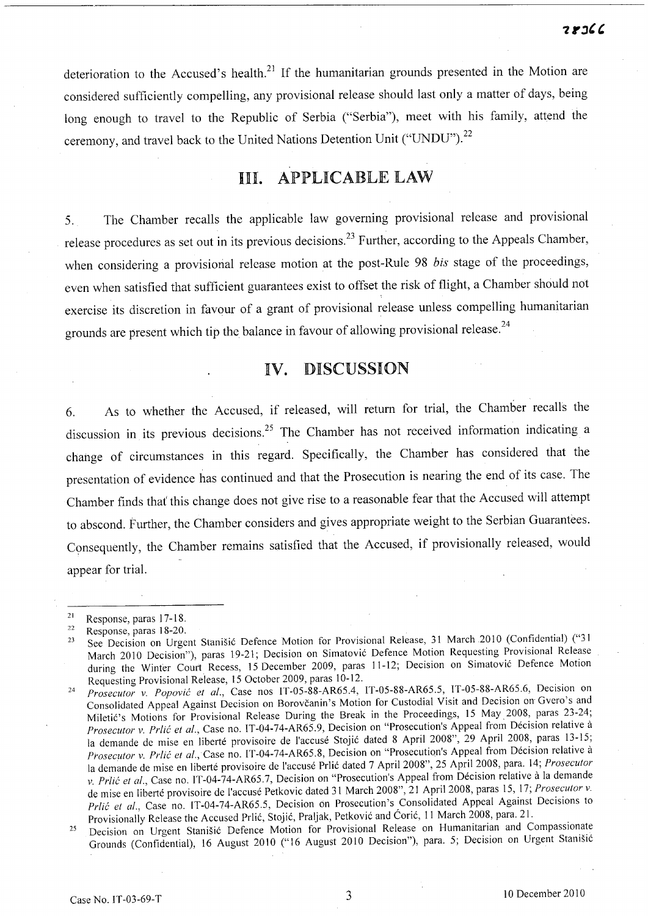deterioration to the Accused's health. $^{21}$  If the humanitarian grounds presented in the Motion are considered sufficiently compelling, any provisional release should last only a matter of days, being long enough to travel to the Republic of Serbia ("Serbia"), meet with his family, attend the ceremony, and travel back to the United Nations Detention Unit ("UNDU").<sup>22</sup>

# **HI. APPLICABLE LAW**

5. The Chamber recalls the applicable law governing provisional release and provisional release procedures as set out in its previous decisions.<sup>23</sup> Further, according to the Appeals Chamber, when considering a provisional release motion at the post-Rule 98 *bis* stage of the proceedings, even when satisfied that sufficient guarantees exist to offset the risk of flight, a Chamber should not exercise its discretion in favour of a grant of provisional release unless compelling humanitarian grounds are present which tip the balance in favour of allowing provisional release.<sup>24</sup>

## IV. DISCUSSION

6. As to whether the Accused, if released, will return for trial, the Chamber recalls the discussion in its previous decisions.<sup>25</sup> The Chamber has not received information indicating a change of circumstances in this regard. Specifically, the Chamber has considered that the presentation of evidence has continued and that the Prosecution is nearing the end of its case. The Chamber finds that' this change does not give rise to a reasonable fear that the Accused will attempt to abscond. Further, the Chamber considers and gives appropriate weight to the Serbian Guarantees. Consequently, the Chamber remains satisfied that the Accused, if provisionally released, would appear for trial.

 $21$  Response, paras 17-18.

<sup>&</sup>lt;sup>22</sup> Response, paras 18-20.

<sup>&</sup>lt;sup>23</sup> See Decision on Urgent Stanišić Defence Motion for Provisional Release, 31 March 2010 (Confidential) ("31 March 2010 Decision"), paras 19-21; Decision on Simatović Defence Motion Requesting Provisional Release during the Winter Court Recess, 15 December 2009, paras 11-12; Decision on Simatović Defence Motion Requesting Provisional Release, IS October 2009, paras 10-12.

*<sup>24</sup> Prosecutor* v. *Popovie et al.,* Case nos IT-OS-88-AR6S.4, IT-OS-88-AR6S.S, IT-OS-S8-AR6S.6, Decision on Consolidated Appeal Against Decision on Borovcanin's Motion for Custodial Visit and Decision on Gvero's and Miletić's Motions for Provisional Release During the Break in the Proceedings, 15 May 2008, paras 23-24; *Prosecutor v. Prlié et al.*, Case no. IT-04-74-AR65.9, Decision on "Prosecution's Appeal from Décision relative à la demande de mise en liberté provisoire de l'accusé Stojić dated 8 April 2008", 29 April 2008, paras 13-15; *Prosecutor v. Prlić et al., Case no. IT-04-74-AR65.8, Decision on "Prosecution's Appeal from Décision relative à* la demande de mise en liberté provisoire de l'accusé Prlic dated 7 April 2008", 25 April 2008, para. 14; *Prosecutor* v. Prlić et al., Case no. IT-04-74-AR65.7, Decision on "Prosecution's Appeal from Décision relative à la demande de mise en liberte provisoire de I'accuse Petkovic dated 31 March 200S", 21 April 2008, paras *IS,* 17; *Prosecutor* v. Prlic et al., Case no. IT-04-74-AR65.5, Decision on Prosecution's Consolidated Appeal Against Decisions to Provisionally Release the Accused Prlic, Stojic, Praljak, Petkovic and Coric, 11 March 200S, para. 21.

<sup>&</sup>lt;sup>25</sup> Decision on Urgent Stanišić Defence Motion for Provisional Release on Humanitarian and Compassionate Grounds (Confidential), 16 August 2010 ("16 August 2010 Decision"), para. S; Decision on Urgent Stanisic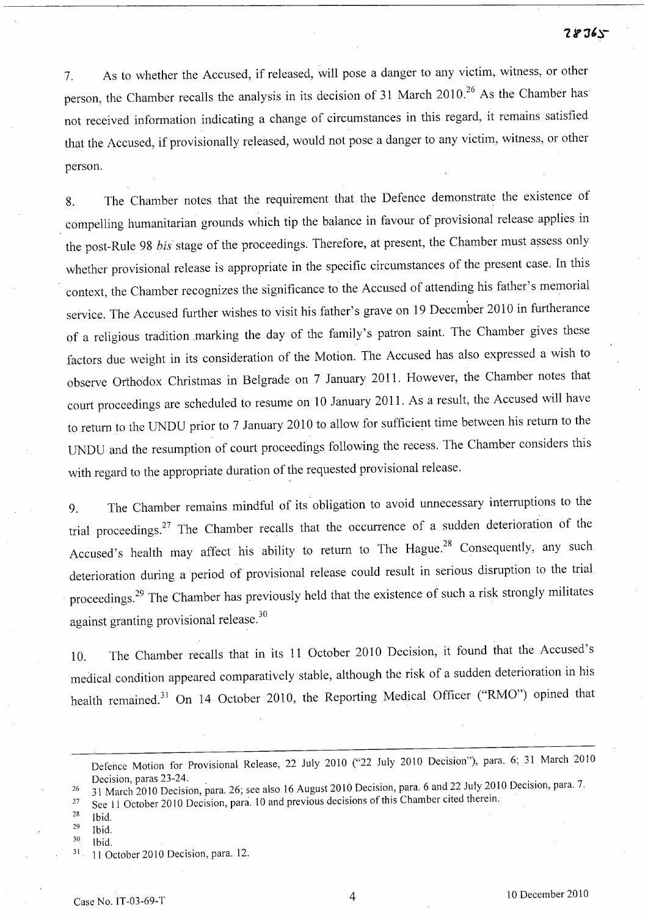#### $28765$

7. As to whether the Accused, if released, will pose a danger to any victim, witness, or other person, the Chamber recalls the analysis in its decision of 31 March 2010.<sup>26</sup> As the Chamber has not received information indicating a change of circumstances in this regard, it remains satisfied that the Accused, if provisionally released, would not pose a danger to any victim, witness, or other person.

8. The Chamber notes that the requirement that the Defence demonstrate the existence of compelling humanitarian grounds which tip the balance in favour of provisional release applies in the post-Rule 98 *bis* stage of the proceedings. Therefore, at present, the Chamber must assess only whether provisional release is appropriate in the specific circumstances of the present case. In this context, the Chamber recognizes the significance to the Accused of attending his father's memorial service. The Accused further wishes to visit his father's grave on 19 December 2010 in furtherance of a religious tradition marking the day of the family's patron saint. The Chamber gives these factors due weight in its consideration of the Motion. The Accused has also expressed a wish to observe Orthodox Christmas in Belgrade on 7 January 2011. However, the Chamber notes that court proceedings are scheduled to resume on 10 January 2011. As a result, the Accused will have to return to the UNDU prior to 7 January 2010 to allow for sufficient time between his return to the UNDU and the resumption of court proceedings following the recess. The Chamber considers this with regard to the appropriate duration of the requested provisional release.

9. The Chamber remains mindful of its obligation to avoid unnecessary interruptions to the trial proceedings.27 The Chamber recalls that the occurrence of a sudden deterioration of the Accused's health may affect his ability to return to The Hague.<sup>28</sup> Consequently, any such deterioration during a period of provisional release could result in serious disruption to the trial proceedings?9 The Chamber has previously held that the existence of such a risk strongly militates against granting provisional release. 3o

10. The Chamber recalls that in its 11 October 2010 Decision, it found that the Accused's medical condition appeared comparatively stable, although the risk of a sudden deterioration in his health remained.<sup>31</sup> On 14 October 2010, the Reporting Medical Officer ("RMO") opined that

- $28$  Ibid.
- $29$  Ibid.

Defence Motion for Provisional Release, 22 July 2010 ("22 July 2010 Decision"), para. 6; 31 March 2010 Decision, paras 23-24.

<sup>26 31</sup> March 2010 Decision, para. 26; see also 16 August 2010 Decision, para. 6 and 22 July 2010 Decision, para. 7.

<sup>&</sup>lt;sup>27</sup> See 11 October 2010 Decision, para. 10 and previous decisions of this Chamber cited therein.

 $30$  Ibid.<br> $31$  11 October 2010 Decision, para. 12.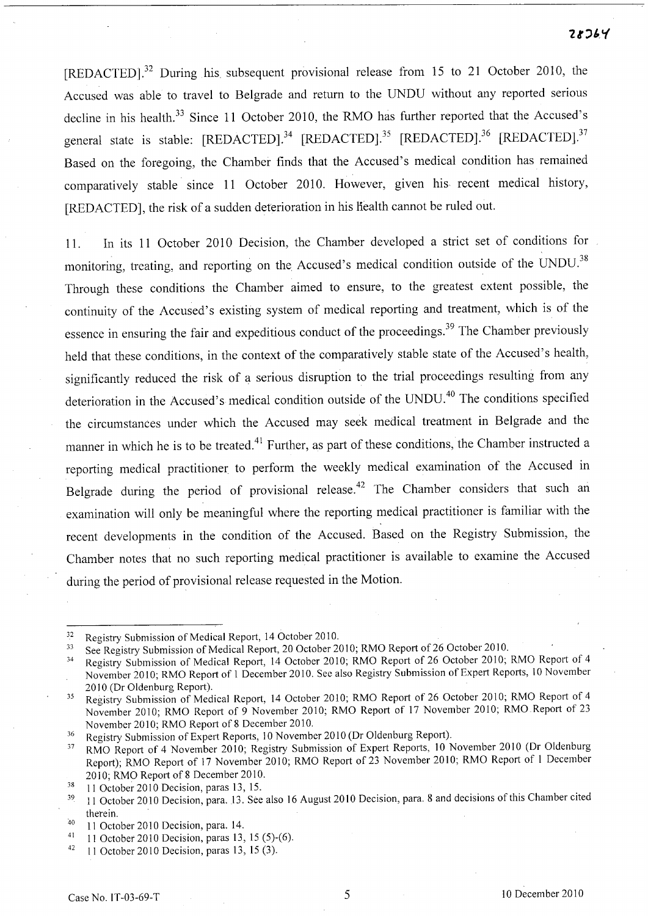$28364$ 

[REDACTED]?2 During his. subsequent provisional release from 15 to 21 October 2010, the Accused was able to travel to Belgrade and return to the UNDU without any reported serious decline in his health.<sup>33</sup> Since 11 October 2010, the RMO has further reported that the Accused's general state is stable: [REDACTED].<sup>34</sup> [REDACTED].<sup>35</sup> [REDACTED].<sup>36</sup> [REDACTED].<sup>37</sup> Based on the foregoing, the Chamber finds that the Accused's medical condition has remained comparatively stable since 11 October 2010. However, given his recent medical history, [REDACTED], the risk of a sudden deterioration in his health cannot be ruled out.

11. In its 11 October 2010 Decision, the Chamber developed a strict set of conditions for monitoring, treating, and reporting on the Accused's medical condition outside of the UNDU.<sup>38</sup> Through these conditions the Chamber aimed to ensure, to the greatest extent possible, the continuity of the Accused's existing system of medical reporting and treatment, which is of the essence in ensuring the fair and expeditious conduct of the proceedings.<sup>39</sup> The Chamber previously held that these conditions, in the context of the comparatively stable state of the Accused's health, significantly reduced the risk of a serious disruption to the trial proceedings resulting from any deterioration in the Accused's medical condition outside of the UNDU. 40 The conditions specified the circumstances under which the Accused may seek medical treatment in Belgrade and the manner in which he is to be treated.<sup>41</sup> Further, as part of these conditions, the Chamber instructed a reporting medical practitioner to perform the weekly medical examination of the Accused in Belgrade during the period of provisional release.<sup>42</sup> The Chamber considers that such an examination will only be meaningful where the reporting medical practitioner is familiar with the recent developments in the condition of the Accused. Based on the Registry Submission, the Chamber notes that no such reporting medical practitioner is available to examine the Accused during the period of provisional release requested in the Motion.

 $\frac{32}{33}$  Registry Submission of Medical Report, 14 October 2010.

<sup>&</sup>lt;sup>33</sup> See Registry Submission of Medical Report, 20 October 2010; RMO Report of 26 October 2010.

<sup>34</sup> Registry Submission of Medical Report, 14 October 2010; RMO Report of 26 October 2010; RMO Report of 4 November 2010; RMO Report of 1 December 2010. See also Registry Submission of Expert Reports, 10 November 2010 (Dr Oldenburg Report).

<sup>&</sup>lt;sup>35</sup> Registry Submission of Medical Report, 14 October 2010; RMO Report of 26 October 2010; RMO Report of 4 November 2010; RMO Report of 9 November 2010; RMO Report of 17 November 2010; RMO Report of 23 November 2010; RMO Report of 8 December 2010.

<sup>&</sup>lt;sup>36</sup> Registry Submission of Expert Reports, 10 November 2010 (Dr Oldenburg Report).

<sup>&</sup>lt;sup>37</sup> RMO Report of 4 November 2010; Registry Submission of Expert Reports, 10 November 2010 (Dr Oldenburg Report); RMO Report of 17 November 2010; RMO Report of 23 November 2010; RMO Report of 1 December 2010; RMO Report of 8 December 2010.

 $38$  11 October 2010 Decision, paras 13, 15.

<sup>&</sup>lt;sup>39</sup> 11 October 2010 Decision, para. 13. See also 16 August 2010 Decision, para. 8 and decisions of this Chamber cited therein.

<sup>40 11</sup> October 2010 Decision, para. 14.

 $41$  11 October 2010 Decision, paras 13, 15 (5)-(6).

 $42$  11 October 2010 Decision, paras 13, 15 (3).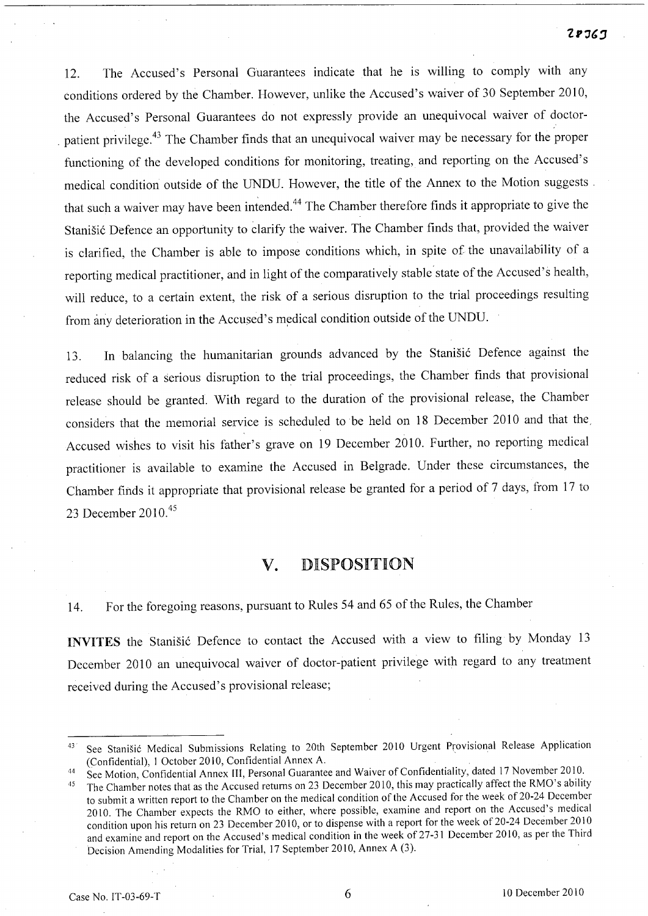12. The Accused's Personal Guarantees indicate that he is willing to comply with any conditions ordered by the Chamber. However, unlike the Accused's waiver of 30 September 2010, the Accused's Personal Guarantees do not expressly provide an unequivocal waiver of doctor patient privilege.<sup>43</sup> The Chamber finds that an unequivocal waiver may be necessary for the proper functioning of the developed conditions for monitoring, treating, and reporting on the Accused's medical condition outside of the UNDD. However, the title of the Annex to the Motion suggests. that such a waiver may have been intended. 44 The Chamber therefore finds it appropriate to give the Stanišić Defence an opportunity to clarify the waiver. The Chamber finds that, provided the waiver is clarified, the Chamber is able to impose conditions which, in spite of the unavailability of a reporting medical practitioner, and in light of the comparatively stable'state of the Accused's health, will reduce, to a certain extent, the risk of a serious disruption to the trial proceedings resulting from any deterioration in the Accused's medical condition outside of the UNDU.

13. In balancing the humanitarian grounds advanced by the Stanišić Defence against the reduced risk of a serious disruption to the trial proceedings, the Chamber finds that provisional release should be granted. With regard to the duration of the provisional release, the Chamber considers that the memorial service is scheduled to be held on 18 December 2010 and that the, Accused wishes to visit his father's grave on 19 December 2010. Further, no reporting medical practitioner is available to examine the Accused in Belgrade. Under these circumstances, the Chamber finds it appropriate that provisional release be granted for a period of 7 days, from 17 to 23 December 2010.<sup>45</sup>

## **V.** DISPOSITION

14. For the foregoing reasons, pursuant to Rules 54 and 65 of the Rules, the Chamber

**INVITES** the Stanišić Defence to contact the Accused with a view to filing by Monday 13 December 2010 an unequivocal waiver of doctor-patient privilege with regard to any treatment received during the Accused's provisional release;

<sup>&</sup>lt;sup>43</sup> See Stanišić Medical Submissions Relating to 20th September 2010 Urgent Provisional Release Application (Confidential), 1 October 2010, Confidential Annex A.

<sup>44</sup> See Motion, Confidential Annex III, Personal Guarantee and Waiver of Confidentiality, dated 17 November 2010.

<sup>&</sup>lt;sup>45</sup> The Chamber notes that as the Accused returns on 23 December 2010, this may practically affect the RMO's ability to submit a written report to the Chamber on the medical condition of the Accused for the week of20-24 December 2010. The Chamber expects the RMO to either, where possible, examine and report on the Accused's medical condition upon his return on 23 December 2010, or to dispense with a report for the week of 20-24 December 2010 and examine and report on the Accused's medical condition in the week of 27-31 December 2010, as per the Third Decision Amending Modalities for Trial, 17 September 2010, Annex A (3).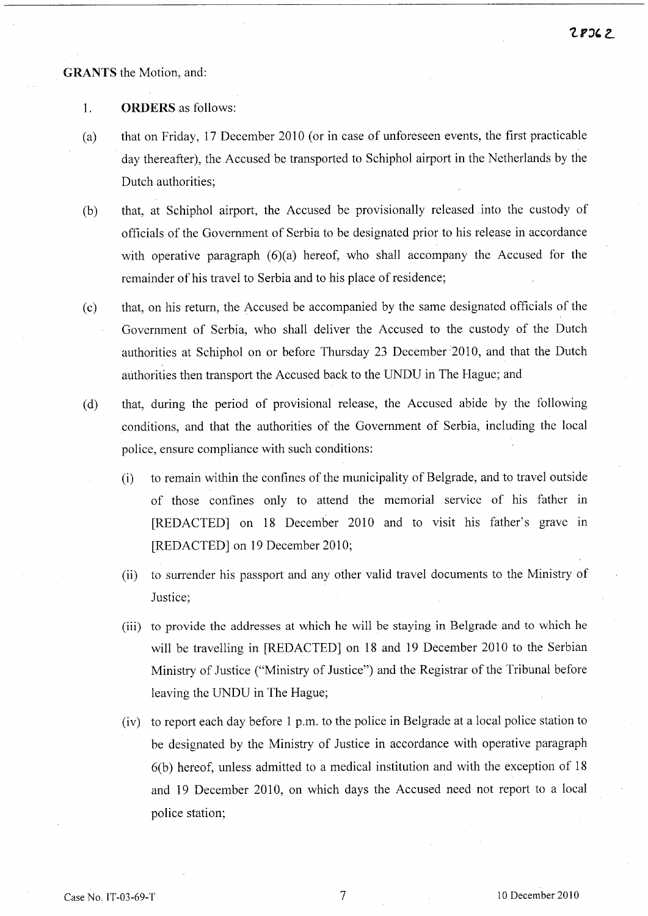**GRANTS** the Motion, and:

- 1. **ORDERS** as follows:
- (a) that on Friday, 17 December 2010 (or in case of unforeseen events, the first practicable day thereafter), the Accused be transported to Schiphol airport in the Netherlands by the Dutch authorities;
- (b) that, at Schiphol airport, the Accused be provisionally released into the custody of officials of the Government of Serbia to be designated prior to his release in accordance with operative paragraph (6)(a) hereof, who shall accompany the Accused for the remainder of his travel to Serbia and to his place of residence;
- (c) that, on his return, the Accused be accompanied by the same designated officials of the Government of Serbia, who shall deliver the Accused to the custody of the Dutch authorities at Schiphol on or before Thursday 23 December 2010, and that the Dutch authorities then transport the Accused back to the UNDU in The Hague; and
- (d) that, during the period of provisional release, the Accused abide by the following conditions, and that the authorities of the Government of Serbia, including the local police, ensure compliance with such conditions:
	- (i) to remain within the confines of the municipality of Belgrade, and to travel outside of those confines only to attend the memorial service of his father in [REDACTED] on 18 December 2010 and to visit his father's grave in [REDACTED] on 19 December 2010;
	- (ii) to surrender his passport and any other valid travel documents to the Ministry of Justice;
	- (iii) to provide the addresses at which he will be staying in Belgrade and to which he will be travelling in [REDACTED] on 18 and 19 December 2010 to the Serbian Ministry of Justice ("Ministry of Justice") and the Registrar of the Tribunal before leaving the UNDU in The Hague;
	- (iv) to report each day before 1 p.m. to the police in Belgrade at a local police station to be designated by the Ministry of Justice in accordance with operative paragraph 6(b) hereof, unless admitted to a medical institution and with the exception of 18 and 19 December 2010, on which days the Accused need not report to a local police station;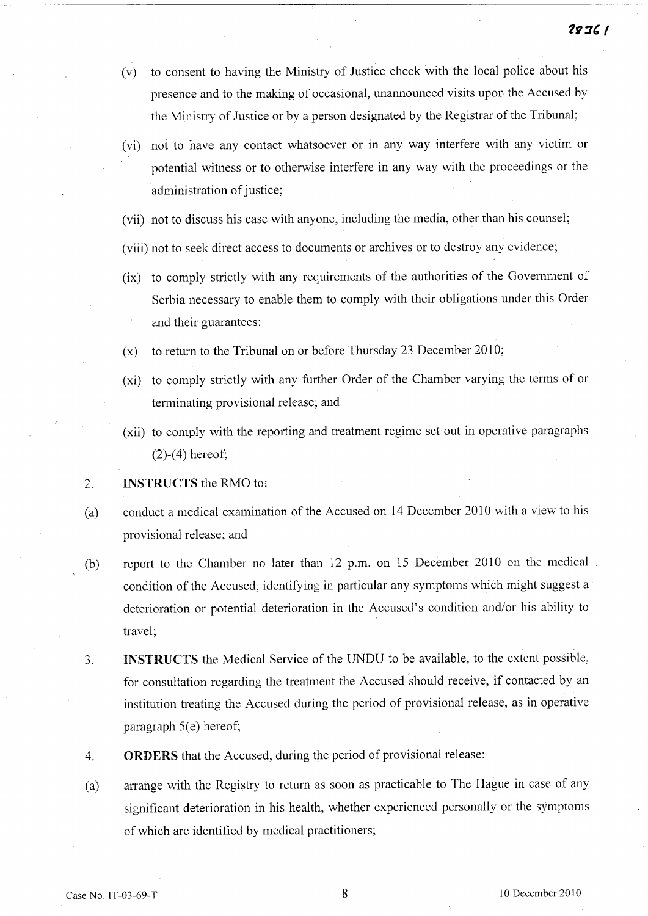- (v) to consent to having the Ministry of Justice check with the local police about his presence and to the making of occasional, unannounced visits upon the Accused by the Ministry of Justice or by a person designated by the Registrar of the Tribunal;
- (vi) not to have any contact whatsoever or in any way interfere with any victim or potential witness or to otherwise interfere in any way with the proceedings or the administration of justice;
- (vii) not to discuss his case with anyone, including the media, other than his counsel;
- (viii) not to seek direct access to documents or archives or to destroy any evidence;
- (ix) to comply strictly with any requirements of the authorities of the Government of Serbia necessary to enable them to comply with their obligations under this Order and their guarantees:
- (x) to return to the Tribunal on or before Thursday 23 December 2010;
- (xi) to comply strictly with any further Order of the Chamber varying the terms of or terminating provisional release; and
- (xii) to comply with the reporting and treatment regime set out in operative paragraphs (2)-(4) hereof;
- 2. INSTRUCTS the RMO to:
- (a) conduct a medical examination of the Accused on 14 December 2010 with a view to his provisional release; and
- (b) report to the Chamber no later than 12 p.m. on 15 December 2010 on the medical condition of the Accused, identifying in particular any symptoms which might suggest a deterioration or potential deterioration in the Accused's condition and/or his ability to travel;
- 3. INSTRUCTS the Medical Service of the UNDU to be available, to the extent possible, for consultation regarding the treatment the Accused should receive, if contacted by an institution treating the Accused during the period of provisional release, as in operative paragraph  $5(e)$  hereof;
- 4. ORDERS that the Accused, during the period of provisional release:
- (a) arrange with the Registry to return as soon as practicable to The Hague in case of any significant deterioration in his health, whether experienced personally or the symptoms of which are identified by medical practitioners;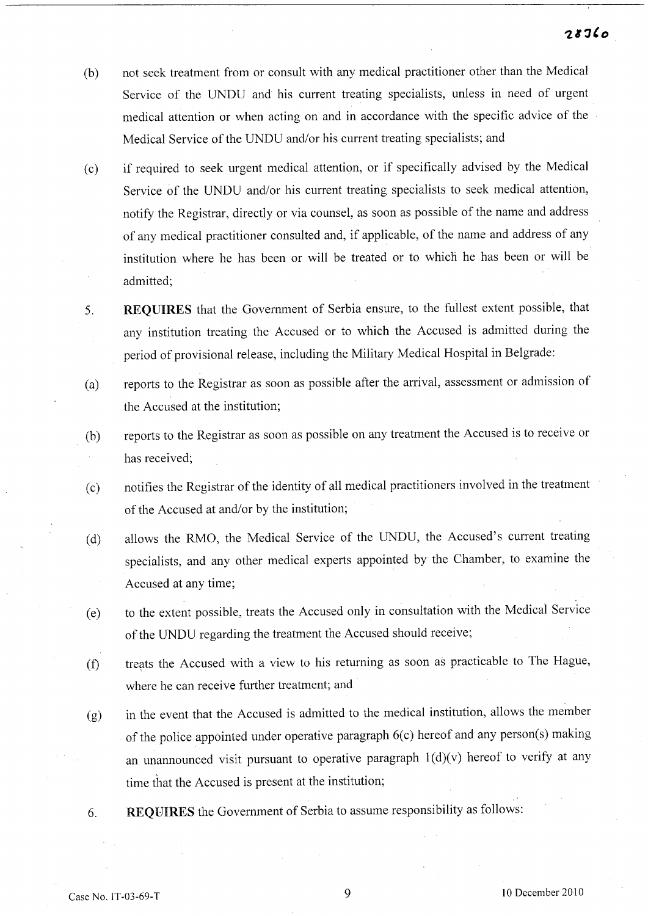- (b) not seek treatment from or consult with any medical practitioner other than the Medical Service of the UNDU and his current treating specialists, unless in need of urgent medical attention or when acting on and in accordance with the specific advice of the Medical Service of the UNDU and/or his current treating specialists; and
- (c) if required to seek urgent medical attention, or if specifically advised by the Medical Service of the UNDU and/or his current treating specialists to seek medical attention, notify the Registrar, directly or via counsel, as soon as possible of the name and address of any medical practitioner consulted and, if applicable, of the name and address of any institution where he has been or will be treated or to which he has been or will be admitted;
- 5. **REQUIRES** that the Government of Serbia ensure, to the fullest extent possible, that any institution treating the Accused or to which the Accused is admitted during the period of provisional release, including the Military Medical Hospital in Belgrade:
- (a) reports to the Registrar as soon as possible after the arrival, assessment or admission of the Accused at the institution;
- (b) reports to the Registrar as soon as possible on any treatment the Accused is to receive or has received;
- (c) notifies the Registrar of the identity of all medical practitioners involved in the treatment of the Accused at and/or by the institution;
- (d) allows the RMO, the Medical Service of the UNDU, the Accused's current treating specialists, and any other medical experts appointed by the Chamber, to examine the Accused at any time;
- (e) to the extent possible, treats the Accused only in consultation with the Medical Service of the UNDU regarding the treatment the Accused should receive;
- (f) treats the Accused with a view to his returning as soon as practicable to The Hague, where he can receive further treatment; and
- (g) in the event that the Accused is admitted to the medical institution, allows the member of the police appointed under operative paragraph 6(c) hereof and any person(s) making an unannounced visit pursuant to operative paragraph  $1(d)(v)$  hereof to verify at any time that the Accused is present at the institution;
- 6. **REQUIRES** the Government of Serbia to assume responsibility as follows: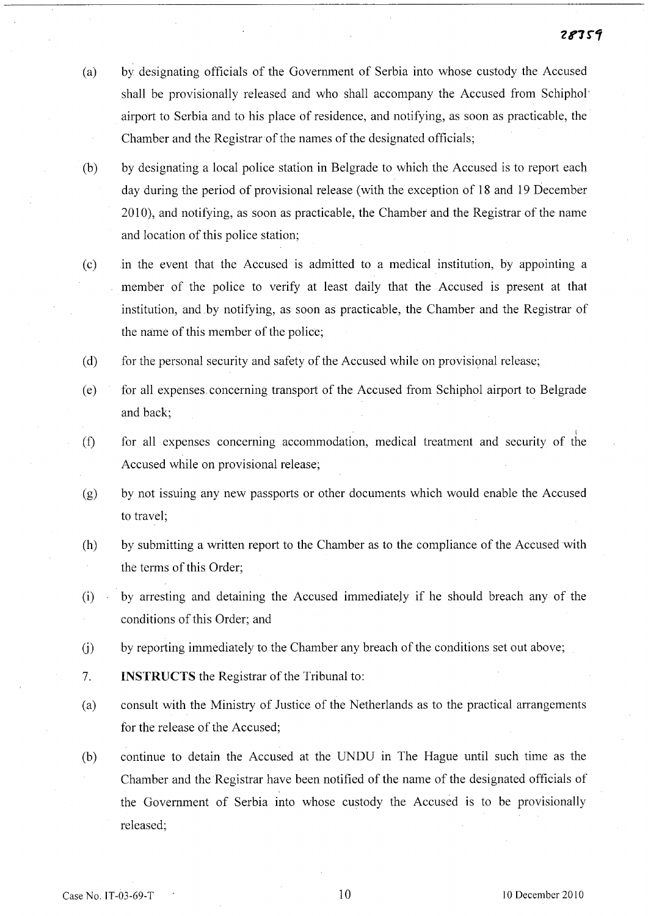- (a) by designating officials of the Government of Serbia into whose custody the Accused shall be provisionally released and who shall accompany the Accused from Schiphol' airport to Serbia and to his place of residence, and notifying, as soon as practicable, the Chamber and the Registrar of the names of the designated officials;
- (b) by designating a local police station in Belgrade to which the Accused is to report each day during the period of provisional release (with the exception of 18 and 19 December 2010), and notifying, as soon as practicable, the Chamber and the Registrar of the name and location of this police station;
- (c) in the event that the Accused is admitted to a medical institution, by appointing a member of the police to verify at least daily that the Accused is present at that institution, and .by notifying, as soon as practicable, the Chamber and the Registrar of the name of this member of the police;
- (d) for the personal security and safety of the Accused while on provisional release;
- (e) for all expenses. concerning transport of the Accused from Schiphol airport to Belgrade and back;
- (f) for all expenses concerning accommodation, medical treatment and security of the Accused while on provisional release;
- (g) by not issuing any new passports or other documents which would enable the Accused to travel;
- (h) by submitting a written report to the Chamber as to the compliance of the Accused with the terms of this Order;
- (i) by arresting and detaining the Accused immediately if he should breach any of the conditions of this Order; and
- (j) by reporting immediately to the Chamber any breach of the conditions set out above;
- 7. INSTRUCTS the Registrar of the Tribunal to:
- (a) consult with the Ministry of Justice of the Netherlands as to the practical arrangements for the release of the Accused;
- (b) continue to detain the Accused at the UNDU in The Hague until such time as the Chamber and the Registrar have been notified of the name of the designated officials of the Government of Serbia into whose custody the Accused is to be provisionally released;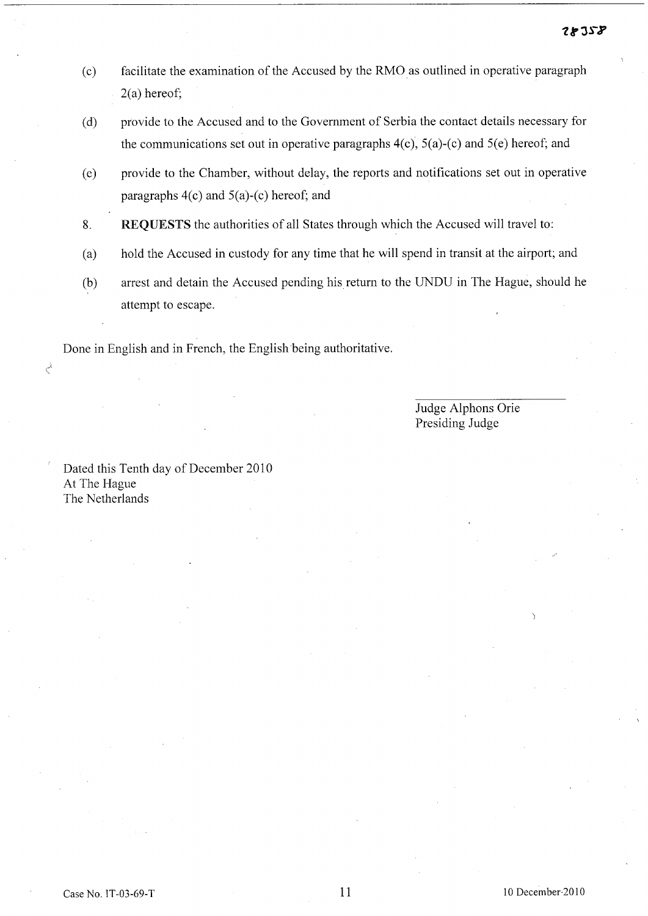- (c) facilitate the examination of the Accused by the RMO as outlined in operative paragraph 2(a) hereof;
- (d) provide to the Accused and to the Government of Serbia the contact details necessary for the communications set out in operative paragraphs  $4(c)$ ,  $5(a)-(c)$  and  $5(e)$  hereof; and
- (e) provide to the Chamber, without delay, the reports and notifications set out in operative paragraphs 4(c) and 5(a)-(c) hereof; and
- 8. REQUESTS the authorities of all States through which the Accused will travel to:
- (a) hold the Accused in custody for any time that he will spend in transit at the airport; and
- (b) arrest and detain the Accused pending his return to the UNDU in The Hague, should he attempt to escape.

Done in English and in French, the English being authoritative.

Judge Alphons Orie Presiding Judge

Dated this Tenth day of December 2010 At The Hague The Netherlands

 $\zeta$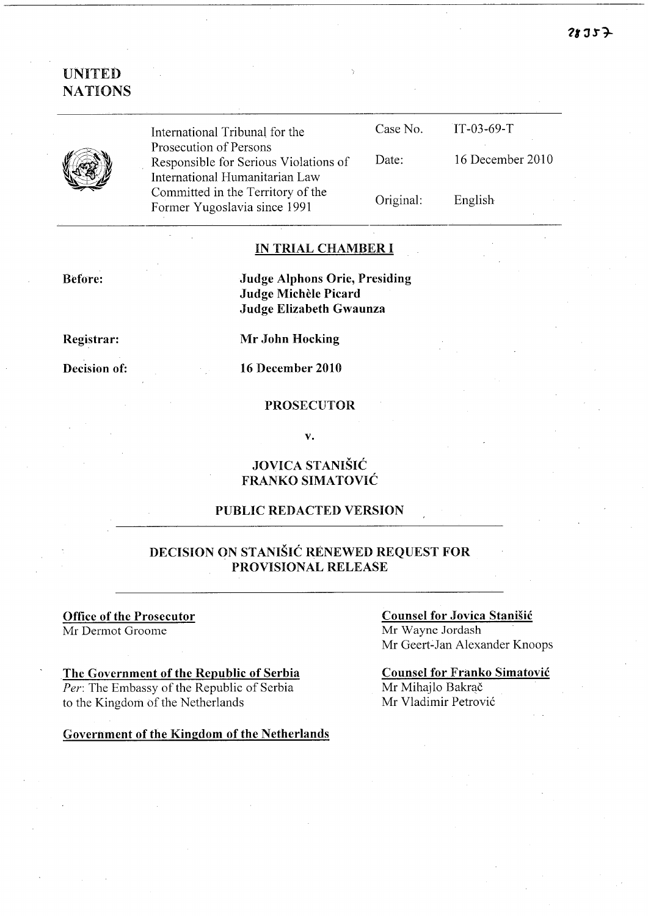## UNITED **NATIONS**



International Tribunal for the Prosecution of Persons Responsible for Serious Violations of International Humanitarian Law Committed in the Territory of the Former Yugoslavia since 1991

| Case No.  | $TT-03-69-T$     |
|-----------|------------------|
| Date:     | 16 December 2010 |
| Original: | English          |

#### IN TRIAL CHAMBER I

Before:

Judge Alphons Orie, Presiding Judge Michèle Picard Judge Elizabeth Gwaunza

Registrar:

Decision of:

Mr John Hocking

16 December 2010

#### PROSECUTOR

v.

### JOVICA STANISIC FRANKO SIMATOVIC

#### PUBLIC REDACTED VERSION

### DECISION ON STANISIC RENEWED REQUEST FOR PROVISIONAL RELEASE

# Office of the Prosecutor

Mr Dermot Groome

### The Government of the Republic of Serbia

*Per:* The Embassy of the Republic of Serbia to the Kingdom of the Netherlands

#### Government of the Kingdom of the Netherlands

#### Counsel for Jovica Stanisic Mr Wayne Jordash Mr Geert~Jan Alexander Knoops

Counsel for Franko Simatovic Mr Mihajlo Bakrač Mr Vladimir Petrović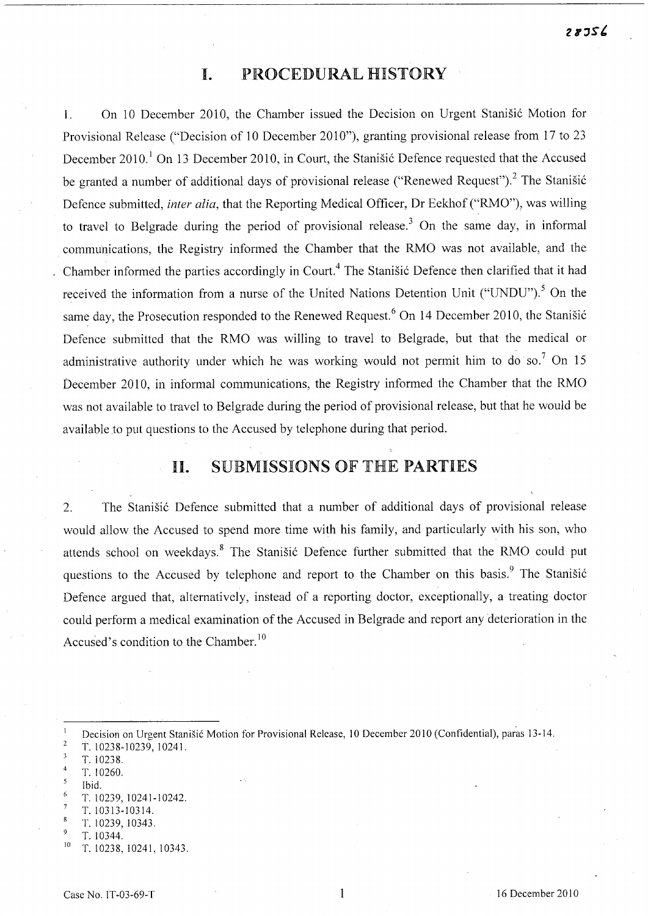## **I.** PROCEDURAL HISTORY

1. On 10 December 2010, the Chamber issued the Decision on Urgent Stanišić Motion for Provisional Release ("Decision of 10 December 2010"), granting provisional release from 17 to 23 December 2010.<sup>1</sup> On 13 December 2010, in Court, the Stanišić Defence requested that the Accused be granted a number of additional days of provisional release ("Renewed Request").<sup>2</sup> The Stanišić Defence submitted, *inter alia*, that the Reporting Medical Officer, Dr Eekhof ("RMO"), was willing to travel to Belgrade during the period of provisional release.<sup>3</sup> On the same day, in informal communications, the Registry informed the Chamber that the RMO was not available, and the Chamber informed the parties accordingly in Court.<sup>4</sup> The Stanišić Defence then clarified that it had received the information from a nurse of the United Nations Detention Unit ("UNDU").<sup>5</sup> On the same day, the Prosecution responded to the Renewed Request.<sup>6</sup> On 14 December 2010, the Stanišić Defence submitted that the RMO was willing to travel to Belgrade, but that the medical or administrative authority under which he was working would not permit him to do so.<sup>7</sup> On 15 December 2010, in informal communications, the Registry informed the Chamber that the RMO was not available to travel to Belgrade during the period of provisional release, but that he would be available to put questions to the Accused by telephone during that period.

# **11.** SUBMISSIONS OF THE PARTIES

2. The Stanišić Defence submitted that a number of additional days of provisional release would allow the Accused to spend more time with his family, and particularly with his son, who attends school on weekdays.<sup>8</sup> The Stanisić Defence further submitted that the RMO could put questions to the Accused by telephone and report to the Chamber on this basis.<sup>9</sup> The Stanišić Defence argued that, alternatively, instead of a reporting doctor, exceptionally, a treating doctor could perform a medical examination of the Accused in Belgrade and report any deterioration in the Accused's condition to the Chamber.<sup>10</sup>

- $\overline{4}$ T. 10260.
- Ibid.
- T. 10239,10241-10242.
- T.I0313-10314.
- T. 10239,10343.
- T. 10344.
- $10$  T. 10238, 10241, 10343.

Decision on Urgent Stanisic Motion for Provisional Release, 10 December 2010 (Confidential), paras 13-14.  $\mathbf{1}$  $\overline{c}$ T. 10238-10239, 1024l.

 $\overline{3}$ T.I0238.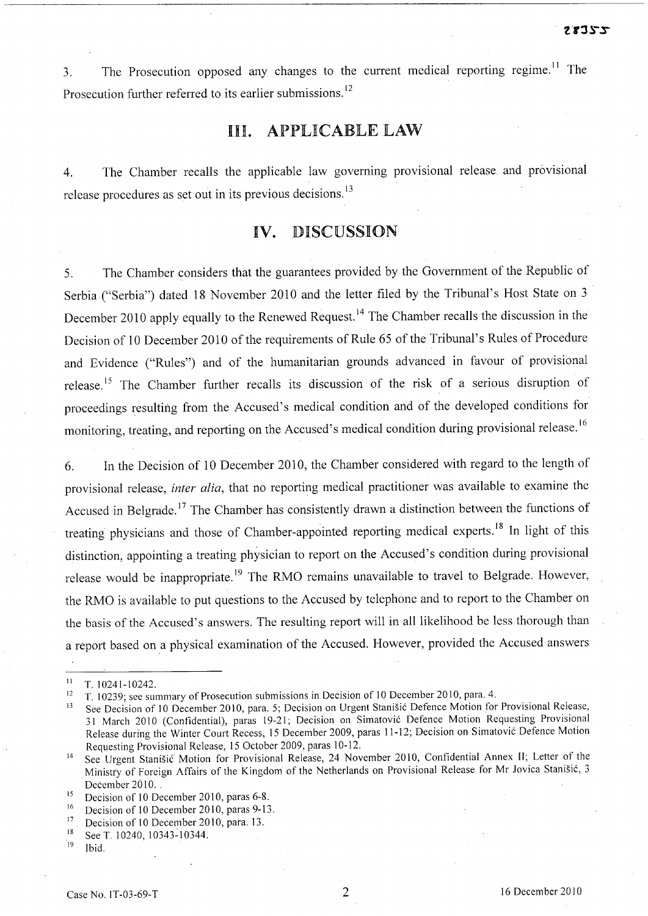3. The Prosecution opposed any changes to the current medical reporting regime.<sup>11</sup> The Prosecution further referred to its earlier submissions.<sup>12</sup>

## III. APPLICABLE LAW

4. The Chamber recalls the applicable law governing provisional release and provisional release procedures as set out in its previous decisions.<sup>13</sup>

# IV. DISCUSSION

5. The Chamber considers that the guarantees provided by the Government of the Republic of Serbia ("Serbia") dated 18 November 2010 and the letter filed by the Tribunal's Host State on 3 December 2010 apply equally to the Renewed Request. 14 The Chamber recalls the discussion in the Decision of 10 December 2010 of the requirements of Rule 65 of the Tribunal's Rules of Procedure and Evidence ("Rules") and of the humanitarian grounds advanced in favour of provisional release.<sup>15</sup> The Chamber further recalls its discussion of the risk of a serious disruption of proceedings resulting from the Accused's medical condition and of the developed conditions for monitoring, treating, and reporting on the Accused's medical condition during provisional release.<sup>16</sup>

6. In the Decision of 10 December 2010, the Chamber considered with regard to the length of provisional release, *inter alia,* that no reporting medical practitioner was available to examine the Accused in Belgrade.<sup>17</sup> The Chamber has consistently drawn a distinction between the functions of treating physicians and those of Chamber-appointed reporting medical experts.<sup>18</sup> In light of this distinction, appointing a treating physician to report on the Accused's condition during provisional release would be inappropriate.<sup>19</sup> The RMO remains unavailable to travel to Belgrade. However, the RMO is available to put questions to the Accused by telephone and to report to the Chamber on the basis of the Accused's answers. The resulting report will in all likelihood be less thorough than a report based on a physical examination of the Accused. However, provided the Accused answers

 $11$  T. 10241-10242.

<sup>&</sup>lt;sup>12</sup> T. 10239; see summary of Prosecution submissions in Decision of 10 December 2010, para. 4.<br><sup>13</sup> See Decision of 10 December 2010, para. 5: Decision on Urgent Stanišić Defence Motion for

See Decision of 10 December 2010, para. 5; Decision on Urgent Stanišić Defence Motion for Provisional Release, 31 March 2010 (Confidential), paras 19-21; Decision on Simatovic Defence Motion Requesting Provisional Release during the Winter Court Recess, 15 December 2009, paras 11-12; Decision on Simatovic Defence Motion Requesting Provisional Release, 15 October 2009, paras 10-12.

<sup>&</sup>lt;sup>14</sup> See Urgent Stanišić Motion for Provisional Release, 24 November 2010, Confidential Annex II; Letter of the Ministry of Foreign Affairs of the Kingdom of the Netherlands on Provisional Release for Mr Jovica Stanisic, 3 December 2010.

<sup>&</sup>lt;sup>15</sup> Decision of 10 December 2010, paras 6-8.<br><sup>16</sup> Decision of 10 December 2010, paras  $9.13$ 

<sup>&</sup>lt;sup>16</sup> Decision of 10 December 2010, paras 9-13.<br><sup>17</sup> Decision of 10 December 2010, para 13.

<sup>&</sup>lt;sup>17</sup> Decision of 10 December 2010, para. 13.

<sup>&</sup>lt;sup>18</sup> See T. 10240, 10343-10344.

Ibid.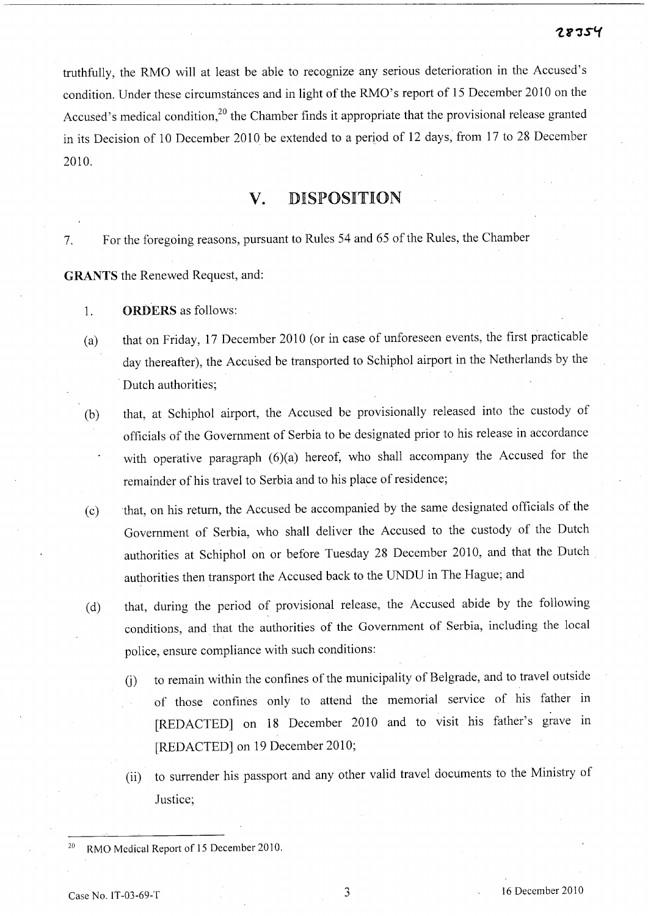truthfully, the RMO will at least be able to recognize any serious deterioration in the Accused's condition. Under these circumstances and in light of the RMO's report of 15 December 2010 on the Accused's medical condition,<sup>20</sup> the Chamber finds it appropriate that the provisional release granted in its Decision of 10 December 2010 be extended to a period of 12 days, from 17 to 28 December 2010.

# **v.** DISPOSITION

7. For the foregoing reasons, pursuant to Rules 54 and 65 of the Rules, the Chamber

**GRANTS** the Renewed Request, and:

- 1. **ORDERS** as follows:
- (a) that on Friday, 17 December 2010 (or in case of unforeseen events, the first practicable day thereafter), the Accused be transported to Schiphol airport in the Netherlands by the . Dutch authorities;
- (b) that, at Schiphol airport, the Accused be provisionally released into the custody of officials of the Government of Serbia to be designated prior to his release in accordance with operative paragraph (6)(a) hereof, who shall accompany the Accused for the remainder of his travel to Serbia and to his place of residence;
- (c) that, on his return, the Accused be accompanied by the same designated officials of the Government of Serbia, who shall deliver the Accused to the custody of the Dutch authorities at Schiphol on or before Tuesday 28 December 2010, and that the Dutch authorities then transport the Accused back to the UNDU in The Hague; and
- (d) that, during the period of provisional release, the Accused abide by the following conditions, and that the authorities of the Government of Serbia, including the local police, ensure compliance with such conditions:
	- (j) to remain within the confines of the municipality of Belgrade, and to travel outside of those confines only to attend the memorial service of his father in [REDACTED] on 18 December 2010 and to visit his father's grave in [REDACTED] on 19 December 2010;
	- (ii) to surrender his passport and any other valid travel documents to the Ministry of Justice;

<sup>20</sup> RMO Medical Report of 15 December 2010.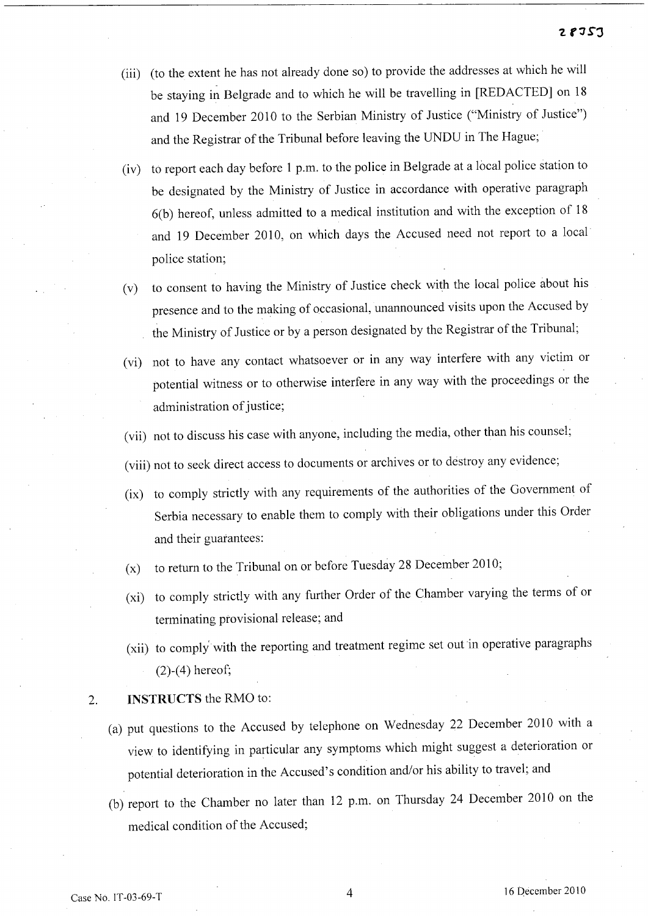- (iii) (to the extent he has not already done so) to provide the addresses at which he will be staying in Belgrade and to which he will be travelling in [REDACTED] on 18 and 19 December 2010 to the Serbian Ministry of Justice ("Ministry of Justice") and the Registrar of the Tribunal before leaving the UNDU in The Hague;
- (iv) to report each day before 1 p.m. to the police in Belgrade at a local police station to be designated by the Ministry of Justice in accordance with operative paragraph 6(b) hereof, unless admitted to a medical institution and with the exception of 18 and 19 December 2010, on which days the Accused need not report to a local police station;
- (v) to consent to having the Ministry of Justice check with the local police about his presence and to the making of occasional, unannounced visits upon the Accused by the Ministry of Justice or by a person designated by the Registrar of the Tribunal;
- (vi) not to have any contact whatsoever or in any way interfere with any victim or potential witness or to otherwise interfere in any way with the proceedings or the administration of justice;
- (vii) not to discuss his case with anyone, including the media, other than his counsel;
- (viii) not to seek direct access to documents or archives or to destroy any evidence;
- (ix) to comply strictly with any requirements of the authorities of the Government of Serbia necessary to enable them to comply with their obligations under this Order and their guarantees:
- (x) to return to the Tribunal on or before Tuesday 28 December 2010;
- (xi) to comply strictly with any further Order of the Chamber varying the terms of or terminating provisional release; and
- (xii) to comply' with the reporting and treatment regime set out in operative paragraphs (2)-(4) hereof;

#### 2. INSTRUCTS the RMO to:

- (a) put questions to the Accused by telephone on Wednesday 22 December 2010 with a view to identifying in particular any symptoms which might suggest a deterioration or potential deterioration in the Accused's condition and/or his ability to travel; and
- (b) report to the Chamber no later than 12 p.m. on Thursday 24 December 2010 on the medical condition of the Accused;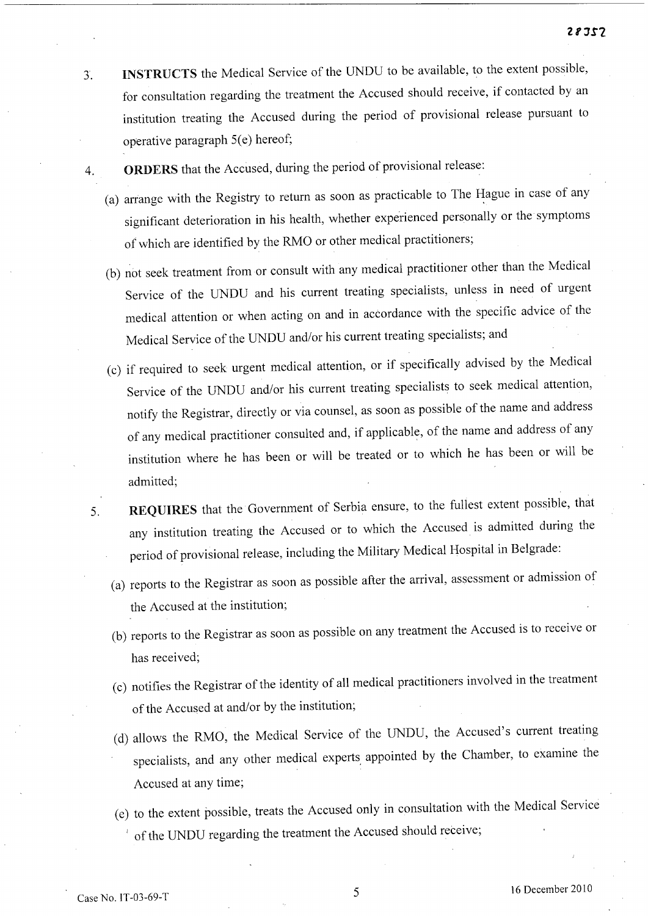- 3. **INSTRUCTS** the Medical Service of the UNDU to be available, to the extent possible, for consultation regarding the treatment the Accused should receive, if contacted by an institution treating the Accused during the period of provisional release pursuant to operative paragraph  $5(e)$  hereof;
- 4. **ORDERS** that the Accused, during the period of provisional release:
	- (a) arrange with the Registry to return as soon as practicable to The Hague in case of any significant deterioration in his health, whether experienced personally or the symptoms of which are identified by the RMO or other medical practitioners;
	- (b) not seek treatment from or consult with any medical practitioner other than the Medical Service of the UNDU and his current treating specialists, unless in need of urgen<sup>t</sup> medical attention or when acting on and in accordance with the specific advice of the Medical Service of the UNDU and/or his current treating specialists; and
	- (c) if required to seek urgent medical attention, or if specifically advised by the Medical Service of the UNDU and/or his current treating specialists to seek medical attention, notify the Registrar, directly or via counsel, as soon as possible of the name and address of any medical practitioner consulted and, if applicable, of the name and address of any institution where he has been or will be treated or to which he has been or will be admitted;
- 5. **REQUIRES** that the Government of Serbia ensure, to the fullest extent possible, that any institution treating the Accused or to which the Accused is admitted during the period of provisional release, including the Military Medical Hospital in Belgrade:
	- (a) reports to the Registrar as soon as possible after the arrival, assessment or admission of the Accused at the institution;
	- (b) reports to the Registrar as soon as possible on any treatment the Accused is to receive or has received;
	- (c) notifies the Registrar of the identity of all medical practitioners involved in the treatment of the Accused at and/or by the institution;
	- (d) allows the RMO, the Medical Service of the UNDU, the Accused's current treating specialists, and any other medical experts, appointed by the Chamber, to examine the Accused at any time;
	- (e) to the extent possible, treats the Accused only in consultation with the Medical Service of the UNDU regarding the treatment the Accused should receive;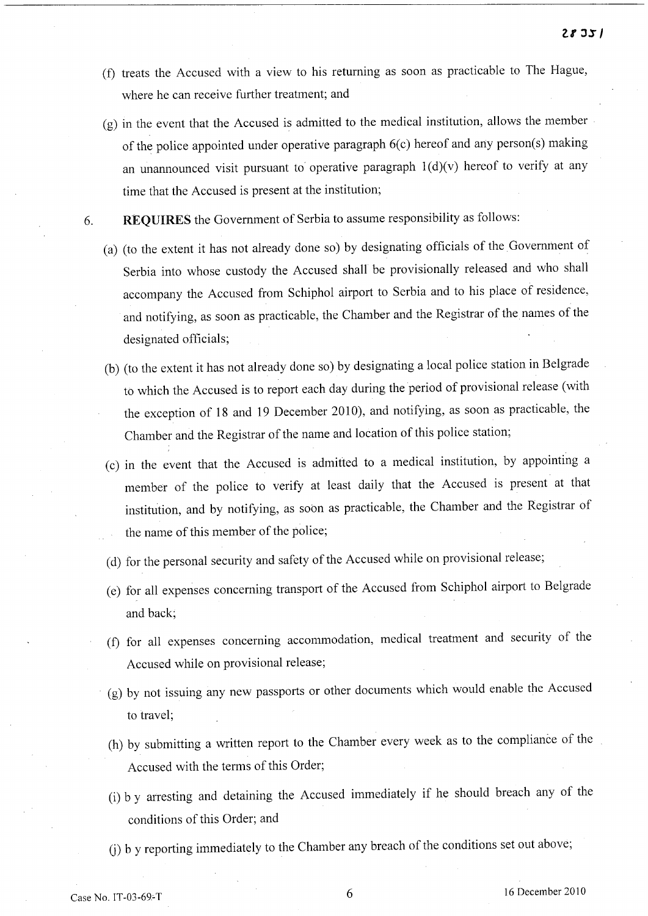- (f) treats the Accused with a view to his returning as soon as practicable to The Hague, where he can receive further treatment; and
- (g) in the event that the Accused is admitted to the medical institution, allows the member of the police appointed under operative paragraph 6(c) hereof and any person(s) making an unannounced visit pursuant to operative paragraph  $1(d)(v)$  hereof to verify at any time that the Accused is present at the institution;
- 6. REQUIRES the Government of Serbia to assume responsibility as follows:
	- (a) (to the extent it has not already done so) by designating officials of the Government of Serbia into whose custody the Accused shall be provisionally released and who shall accompany the Accused from Schiphol airport to Serbia and to his place of residence, and notifying, as soon as practicable, the Chamber and the Registrar of the names of the designated officials;
	- (b) (to the extent it has not already done so) by designating a local police station in Belgrade to which the Accused is to report each day during the period of provisional release (with the exception of 18 and 19 December 2010), and notifying, as soon as practicable, the Chamber and the Registrar of the name and location of this police station;
	- (c) in the event that the Accused is admitted to a medical institution, by appointing a member of the police to verify at least daily that the Accused is present at that institution, and by notifying, as soon as practicable, the Chamber and the Registrar of the name of this member of the police;
	- (d) for the personal security and safety of the Accused while on provisional release;
	- (e) for all expenses concerning transport of the Accused from Schiphol airport to Belgrade and back;
	- (f) for all expenses concerning accommodation, medical treatment and security of the Accused while on provisional release;
	- (g) by not issuing any new passports or other documents which would enable the Accused to travel;
	- (h) by submitting a written report to the Chamber every week as to the compliance of the Accused with the terms of this Order;
	- (i) b y arresting and detaining the Accused immediately if he should breach any of the conditions of this Order; and
	- (j) b y reporting immediately to the Chamber any breach of the conditions set out above;